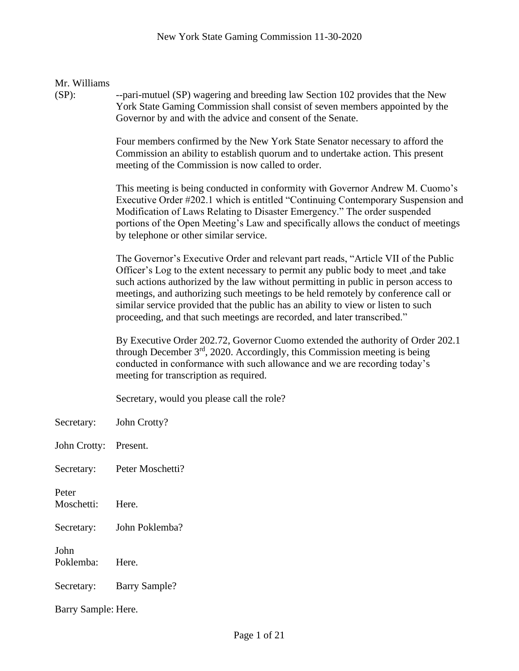| Mr. Williams<br>$(SP)$ : | --pari-mutuel (SP) wagering and breeding law Section 102 provides that the New<br>York State Gaming Commission shall consist of seven members appointed by the<br>Governor by and with the advice and consent of the Senate.                                                                                                                                                                                                                                                                                         |  |
|--------------------------|----------------------------------------------------------------------------------------------------------------------------------------------------------------------------------------------------------------------------------------------------------------------------------------------------------------------------------------------------------------------------------------------------------------------------------------------------------------------------------------------------------------------|--|
|                          | Four members confirmed by the New York State Senator necessary to afford the<br>Commission an ability to establish quorum and to undertake action. This present<br>meeting of the Commission is now called to order.                                                                                                                                                                                                                                                                                                 |  |
|                          | This meeting is being conducted in conformity with Governor Andrew M. Cuomo's<br>Executive Order #202.1 which is entitled "Continuing Contemporary Suspension and<br>Modification of Laws Relating to Disaster Emergency." The order suspended<br>portions of the Open Meeting's Law and specifically allows the conduct of meetings<br>by telephone or other similar service.                                                                                                                                       |  |
|                          | The Governor's Executive Order and relevant part reads, "Article VII of the Public<br>Officer's Log to the extent necessary to permit any public body to meet, and take<br>such actions authorized by the law without permitting in public in person access to<br>meetings, and authorizing such meetings to be held remotely by conference call or<br>similar service provided that the public has an ability to view or listen to such<br>proceeding, and that such meetings are recorded, and later transcribed." |  |
|                          | By Executive Order 202.72, Governor Cuomo extended the authority of Order 202.1<br>through December $3rd$ , 2020. Accordingly, this Commission meeting is being<br>conducted in conformance with such allowance and we are recording today's<br>meeting for transcription as required.                                                                                                                                                                                                                               |  |
|                          | Secretary, would you please call the role?                                                                                                                                                                                                                                                                                                                                                                                                                                                                           |  |
| Secretary:               | John Crotty?                                                                                                                                                                                                                                                                                                                                                                                                                                                                                                         |  |
| John Crotty:             | Present.                                                                                                                                                                                                                                                                                                                                                                                                                                                                                                             |  |
| Secretary:               | Peter Moschetti?                                                                                                                                                                                                                                                                                                                                                                                                                                                                                                     |  |
| Peter<br>Moschetti:      | Here.                                                                                                                                                                                                                                                                                                                                                                                                                                                                                                                |  |
| Secretary:               | John Poklemba?                                                                                                                                                                                                                                                                                                                                                                                                                                                                                                       |  |
| John<br>Poklemba:        | Here.                                                                                                                                                                                                                                                                                                                                                                                                                                                                                                                |  |
| Secretary:               | <b>Barry Sample?</b>                                                                                                                                                                                                                                                                                                                                                                                                                                                                                                 |  |
|                          | Barry Sample: Here.                                                                                                                                                                                                                                                                                                                                                                                                                                                                                                  |  |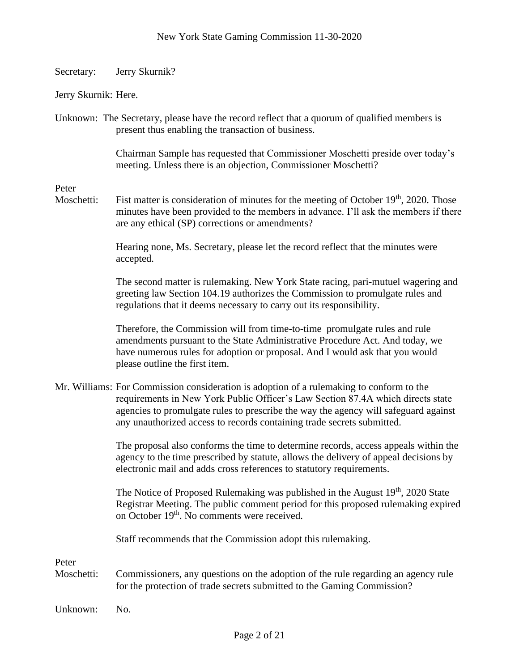Secretary: Jerry Skurnik?

Jerry Skurnik: Here.

Unknown: The Secretary, please have the record reflect that a quorum of qualified members is present thus enabling the transaction of business.

> Chairman Sample has requested that Commissioner Moschetti preside over today's meeting. Unless there is an objection, Commissioner Moschetti?

Peter

Moschetti: Fist matter is consideration of minutes for the meeting of October 19<sup>th</sup>, 2020. Those minutes have been provided to the members in advance. I'll ask the members if there are any ethical (SP) corrections or amendments?

> Hearing none, Ms. Secretary, please let the record reflect that the minutes were accepted.

The second matter is rulemaking. New York State racing, pari-mutuel wagering and greeting law Section 104.19 authorizes the Commission to promulgate rules and regulations that it deems necessary to carry out its responsibility.

Therefore, the Commission will from time-to-time promulgate rules and rule amendments pursuant to the State Administrative Procedure Act. And today, we have numerous rules for adoption or proposal. And I would ask that you would please outline the first item.

Mr. Williams: For Commission consideration is adoption of a rulemaking to conform to the requirements in New York Public Officer's Law Section 87.4A which directs state agencies to promulgate rules to prescribe the way the agency will safeguard against any unauthorized access to records containing trade secrets submitted.

> The proposal also conforms the time to determine records, access appeals within the agency to the time prescribed by statute, allows the delivery of appeal decisions by electronic mail and adds cross references to statutory requirements.

> The Notice of Proposed Rulemaking was published in the August  $19<sup>th</sup>$ , 2020 State Registrar Meeting. The public comment period for this proposed rulemaking expired on October 19<sup>th</sup>. No comments were received.

Staff recommends that the Commission adopt this rulemaking.

Peter

Moschetti: Commissioners, any questions on the adoption of the rule regarding an agency rule for the protection of trade secrets submitted to the Gaming Commission?

Unknown: No.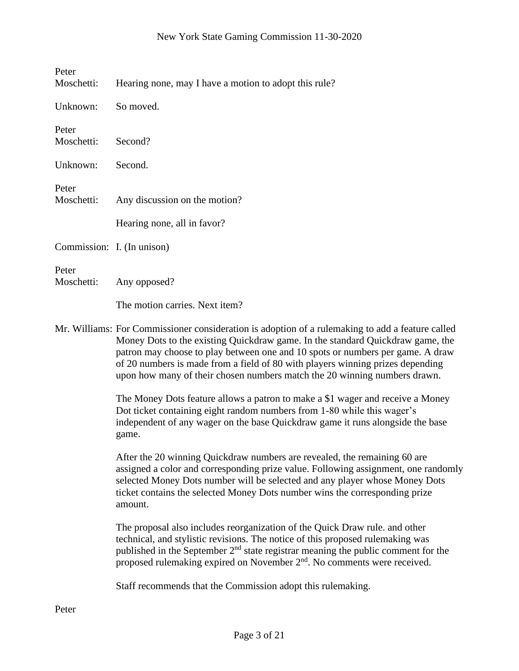| Peter<br>Moschetti:        | Hearing none, may I have a motion to adopt this rule?                                                                                                                                                                                                                                                                                                                                                                               |
|----------------------------|-------------------------------------------------------------------------------------------------------------------------------------------------------------------------------------------------------------------------------------------------------------------------------------------------------------------------------------------------------------------------------------------------------------------------------------|
| Unknown:                   | So moved.                                                                                                                                                                                                                                                                                                                                                                                                                           |
| Peter<br>Moschetti:        | Second?                                                                                                                                                                                                                                                                                                                                                                                                                             |
| Unknown:                   | Second.                                                                                                                                                                                                                                                                                                                                                                                                                             |
| Peter<br>Moschetti:        | Any discussion on the motion?                                                                                                                                                                                                                                                                                                                                                                                                       |
|                            | Hearing none, all in favor?                                                                                                                                                                                                                                                                                                                                                                                                         |
| Commission: I. (In unison) |                                                                                                                                                                                                                                                                                                                                                                                                                                     |
| Peter<br>Moschetti:        | Any opposed?                                                                                                                                                                                                                                                                                                                                                                                                                        |
|                            | The motion carries. Next item?                                                                                                                                                                                                                                                                                                                                                                                                      |
|                            | Mr. Williams: For Commissioner consideration is adoption of a rulemaking to add a feature called<br>Money Dots to the existing Quickdraw game. In the standard Quickdraw game, the<br>patron may choose to play between one and 10 spots or numbers per game. A draw<br>of 20 numbers is made from a field of 80 with players winning prizes depending<br>upon how many of their chosen numbers match the 20 winning numbers drawn. |
|                            | The Money Dots feature allows a patron to make a \$1 wager and receive a Money<br>Dot ticket containing eight random numbers from 1-80 while this wager's<br>independent of any wager on the base Quickdraw game it runs alongside the base<br>game.                                                                                                                                                                                |
|                            | After the 20 winning Quickdraw numbers are revealed, the remaining 60 are<br>assigned a color and corresponding prize value. Following assignment, one randomly<br>selected Money Dots number will be selected and any player whose Money Dots<br>ticket contains the selected Money Dots number wins the corresponding prize<br>amount.                                                                                            |
|                            | The proposal also includes reorganization of the Quick Draw rule, and other<br>technical, and stylistic revisions. The notice of this proposed rulemaking was<br>published in the September 2 <sup>nd</sup> state registrar meaning the public comment for the<br>proposed rulemaking expired on November 2 <sup>nd</sup> . No comments were received.                                                                              |

Staff recommends that the Commission adopt this rulemaking.

Peter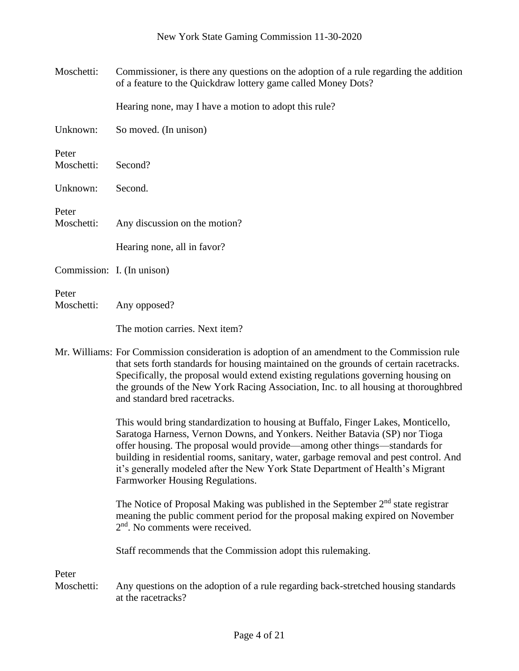| Moschetti:                 | Commissioner, is there any questions on the adoption of a rule regarding the addition<br>of a feature to the Quickdraw lottery game called Money Dots?                                                                                                                                                                                                                                                                                                       |
|----------------------------|--------------------------------------------------------------------------------------------------------------------------------------------------------------------------------------------------------------------------------------------------------------------------------------------------------------------------------------------------------------------------------------------------------------------------------------------------------------|
|                            | Hearing none, may I have a motion to adopt this rule?                                                                                                                                                                                                                                                                                                                                                                                                        |
| Unknown:                   | So moved. (In unison)                                                                                                                                                                                                                                                                                                                                                                                                                                        |
| Peter<br>Moschetti:        | Second?                                                                                                                                                                                                                                                                                                                                                                                                                                                      |
| Unknown:                   | Second.                                                                                                                                                                                                                                                                                                                                                                                                                                                      |
| Peter<br>Moschetti:        | Any discussion on the motion?                                                                                                                                                                                                                                                                                                                                                                                                                                |
|                            | Hearing none, all in favor?                                                                                                                                                                                                                                                                                                                                                                                                                                  |
| Commission: I. (In unison) |                                                                                                                                                                                                                                                                                                                                                                                                                                                              |
| Peter<br>Moschetti:        | Any opposed?                                                                                                                                                                                                                                                                                                                                                                                                                                                 |
|                            | The motion carries. Next item?                                                                                                                                                                                                                                                                                                                                                                                                                               |
|                            | Mr. Williams: For Commission consideration is adoption of an amendment to the Commission rule<br>that sets forth standards for housing maintained on the grounds of certain racetracks.<br>Specifically, the proposal would extend existing regulations governing housing on<br>the grounds of the New York Racing Association, Inc. to all housing at thoroughbred<br>and standard bred racetracks.                                                         |
|                            | This would bring standardization to housing at Buffalo, Finger Lakes, Monticello,<br>Saratoga Harness, Vernon Downs, and Yonkers. Neither Batavia (SP) nor Tioga<br>offer housing. The proposal would provide—among other things—standards for<br>building in residential rooms, sanitary, water, garbage removal and pest control. And<br>it's generally modeled after the New York State Department of Health's Migrant<br>Farmworker Housing Regulations. |
|                            | The Notice of Proposal Making was published in the September $2nd$ state registrar<br>meaning the public comment period for the proposal making expired on November<br>2 <sup>nd</sup> . No comments were received.                                                                                                                                                                                                                                          |
|                            | Staff recommends that the Commission adopt this rulemaking.                                                                                                                                                                                                                                                                                                                                                                                                  |
| Peter<br>Moschetti:        | Any questions on the adoption of a rule regarding back-stretched housing standards<br>at the racetracks?                                                                                                                                                                                                                                                                                                                                                     |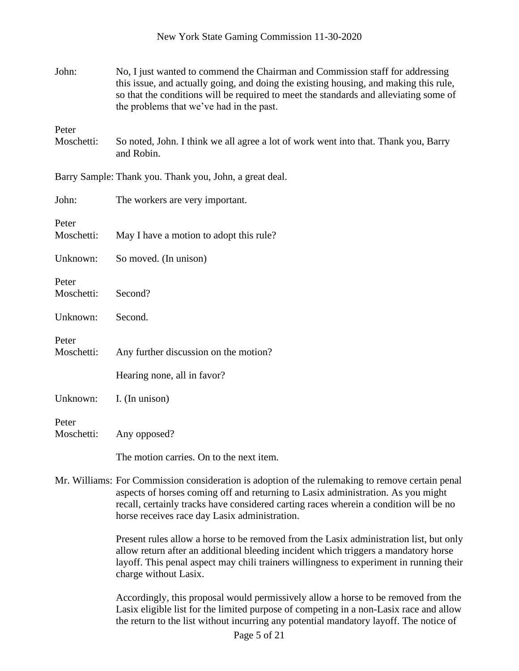| John:               | No, I just wanted to commend the Chairman and Commission staff for addressing<br>this issue, and actually going, and doing the existing housing, and making this rule,<br>so that the conditions will be required to meet the standards and alleviating some of<br>the problems that we've had in the past.                    |
|---------------------|--------------------------------------------------------------------------------------------------------------------------------------------------------------------------------------------------------------------------------------------------------------------------------------------------------------------------------|
| Peter<br>Moschetti: | So noted, John. I think we all agree a lot of work went into that. Thank you, Barry<br>and Robin.                                                                                                                                                                                                                              |
|                     | Barry Sample: Thank you. Thank you, John, a great deal.                                                                                                                                                                                                                                                                        |
| John:               | The workers are very important.                                                                                                                                                                                                                                                                                                |
| Peter<br>Moschetti: | May I have a motion to adopt this rule?                                                                                                                                                                                                                                                                                        |
| Unknown:            | So moved. (In unison)                                                                                                                                                                                                                                                                                                          |
| Peter<br>Moschetti: | Second?                                                                                                                                                                                                                                                                                                                        |
| Unknown:            | Second.                                                                                                                                                                                                                                                                                                                        |
| Peter<br>Moschetti: | Any further discussion on the motion?<br>Hearing none, all in favor?                                                                                                                                                                                                                                                           |
| Unknown:            | I. (In unison)                                                                                                                                                                                                                                                                                                                 |
| Peter<br>Moschetti: | Any opposed?                                                                                                                                                                                                                                                                                                                   |
|                     | The motion carries. On to the next item.                                                                                                                                                                                                                                                                                       |
|                     | Mr. Williams: For Commission consideration is adoption of the rulemaking to remove certain penal<br>aspects of horses coming off and returning to Lasix administration. As you might<br>recall, certainly tracks have considered carting races wherein a condition will be no<br>horse receives race day Lasix administration. |
|                     | Present rules allow a horse to be removed from the Lasix administration list, but only<br>allow return after an additional bleeding incident which triggers a mandatory horse                                                                                                                                                  |

New York State Gaming Commission 11-30-2020

Accordingly, this proposal would permissively allow a horse to be removed from the Lasix eligible list for the limited purpose of competing in a non-Lasix race and allow the return to the list without incurring any potential mandatory layoff. The notice of

layoff. This penal aspect may chili trainers willingness to experiment in running their

charge without Lasix.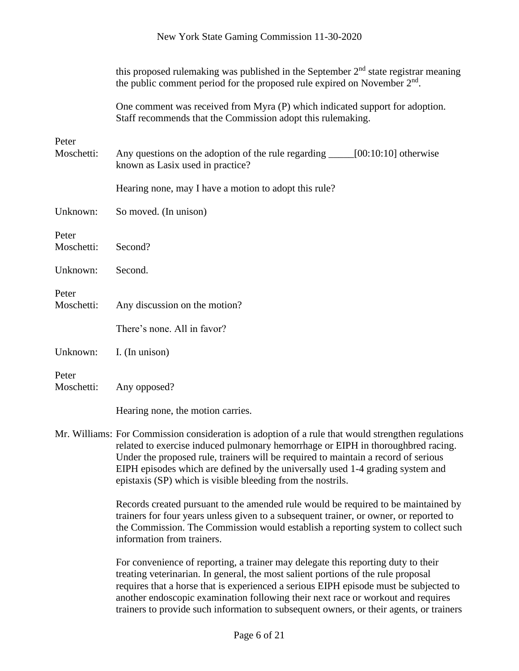|                     | this proposed rulemaking was published in the September 2 <sup>nd</sup> state registrar meaning<br>the public comment period for the proposed rule expired on November 2 <sup>nd</sup> . |
|---------------------|------------------------------------------------------------------------------------------------------------------------------------------------------------------------------------------|
|                     | One comment was received from Myra (P) which indicated support for adoption.<br>Staff recommends that the Commission adopt this rulemaking.                                              |
| Peter<br>Moschetti: | Any questions on the adoption of the rule regarding ______[00:10:10] otherwise<br>known as Lasix used in practice?                                                                       |
|                     | Hearing none, may I have a motion to adopt this rule?                                                                                                                                    |
| Unknown:            | So moved. (In unison)                                                                                                                                                                    |
| Peter<br>Moschetti: | Second?                                                                                                                                                                                  |
| Unknown:            | Second.                                                                                                                                                                                  |
| Peter<br>Moschetti: | Any discussion on the motion?                                                                                                                                                            |
|                     | There's none. All in favor?                                                                                                                                                              |
| Unknown:            | I. (In unison)                                                                                                                                                                           |
| Peter<br>Moschetti: | Any opposed?                                                                                                                                                                             |
|                     | Hearing none, the motion carries.                                                                                                                                                        |

Mr. Williams: For Commission consideration is adoption of a rule that would strengthen regulations related to exercise induced pulmonary hemorrhage or EIPH in thoroughbred racing. Under the proposed rule, trainers will be required to maintain a record of serious EIPH episodes which are defined by the universally used 1-4 grading system and epistaxis (SP) which is visible bleeding from the nostrils.

> Records created pursuant to the amended rule would be required to be maintained by trainers for four years unless given to a subsequent trainer, or owner, or reported to the Commission. The Commission would establish a reporting system to collect such information from trainers.

> For convenience of reporting, a trainer may delegate this reporting duty to their treating veterinarian. In general, the most salient portions of the rule proposal requires that a horse that is experienced a serious EIPH episode must be subjected to another endoscopic examination following their next race or workout and requires trainers to provide such information to subsequent owners, or their agents, or trainers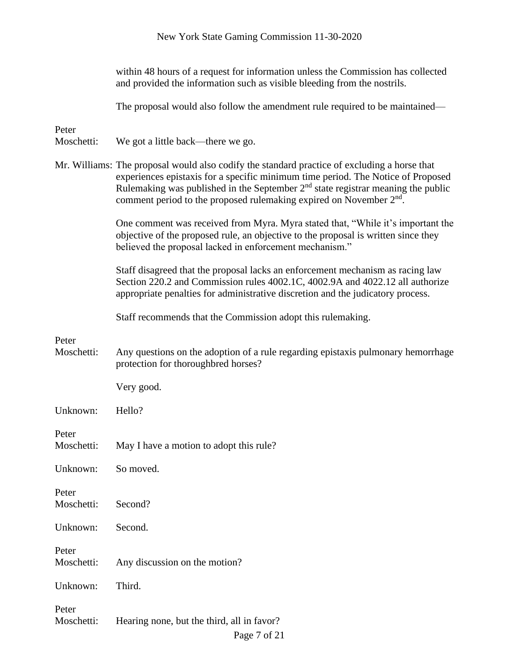|                     | New York State Gaming Commission 11-30-2020                                                                                                                                                                                                                                                                                                     |
|---------------------|-------------------------------------------------------------------------------------------------------------------------------------------------------------------------------------------------------------------------------------------------------------------------------------------------------------------------------------------------|
|                     | within 48 hours of a request for information unless the Commission has collected<br>and provided the information such as visible bleeding from the nostrils.                                                                                                                                                                                    |
|                     | The proposal would also follow the amendment rule required to be maintained—                                                                                                                                                                                                                                                                    |
| Peter<br>Moschetti: | We got a little back—there we go.                                                                                                                                                                                                                                                                                                               |
|                     | Mr. Williams: The proposal would also codify the standard practice of excluding a horse that<br>experiences epistaxis for a specific minimum time period. The Notice of Proposed<br>Rulemaking was published in the September $2nd$ state registrar meaning the public<br>comment period to the proposed rulemaking expired on November $2nd$ . |
|                     | One comment was received from Myra. Myra stated that, "While it's important the<br>objective of the proposed rule, an objective to the proposal is written since they<br>believed the proposal lacked in enforcement mechanism."                                                                                                                |
|                     | Staff disagreed that the proposal lacks an enforcement mechanism as racing law<br>Section 220.2 and Commission rules 4002.1C, 4002.9A and 4022.12 all authorize<br>appropriate penalties for administrative discretion and the judicatory process.                                                                                              |
|                     | Staff recommends that the Commission adopt this rulemaking.                                                                                                                                                                                                                                                                                     |
| Peter<br>Moschetti: | Any questions on the adoption of a rule regarding epistaxis pulmonary hemorrhage<br>protection for thoroughbred horses?                                                                                                                                                                                                                         |
|                     | Very good.                                                                                                                                                                                                                                                                                                                                      |
| Unknown:            | Hello?                                                                                                                                                                                                                                                                                                                                          |
| Peter<br>Moschetti: | May I have a motion to adopt this rule?                                                                                                                                                                                                                                                                                                         |
| Unknown:            | So moved.                                                                                                                                                                                                                                                                                                                                       |
| Peter<br>Moschetti: | Second?                                                                                                                                                                                                                                                                                                                                         |
| Unknown:            | Second.                                                                                                                                                                                                                                                                                                                                         |
| Peter<br>Moschetti: | Any discussion on the motion?                                                                                                                                                                                                                                                                                                                   |
| Unknown:            | Third.                                                                                                                                                                                                                                                                                                                                          |
| Peter<br>Moschetti: | Hearing none, but the third, all in favor?                                                                                                                                                                                                                                                                                                      |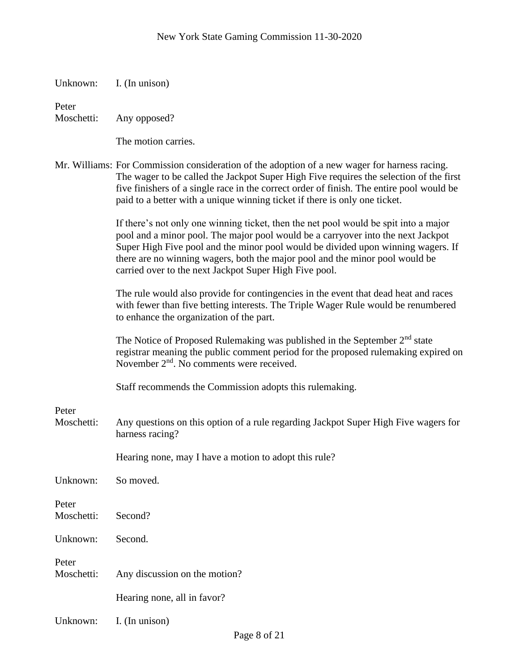| Unknown: |  | I. (In unison) |
|----------|--|----------------|
|----------|--|----------------|

Peter

Moschetti: Any opposed?

The motion carries.

Mr. Williams: For Commission consideration of the adoption of a new wager for harness racing. The wager to be called the Jackpot Super High Five requires the selection of the first five finishers of a single race in the correct order of finish. The entire pool would be paid to a better with a unique winning ticket if there is only one ticket.

> If there's not only one winning ticket, then the net pool would be spit into a major pool and a minor pool. The major pool would be a carryover into the next Jackpot Super High Five pool and the minor pool would be divided upon winning wagers. If there are no winning wagers, both the major pool and the minor pool would be carried over to the next Jackpot Super High Five pool.

> The rule would also provide for contingencies in the event that dead heat and races with fewer than five betting interests. The Triple Wager Rule would be renumbered to enhance the organization of the part.

The Notice of Proposed Rulemaking was published in the September  $2<sup>nd</sup>$  state registrar meaning the public comment period for the proposed rulemaking expired on November  $2<sup>nd</sup>$ . No comments were received.

Staff recommends the Commission adopts this rulemaking.

Peter

Moschetti: Any questions on this option of a rule regarding Jackpot Super High Five wagers for harness racing?

Hearing none, may I have a motion to adopt this rule?

| Unknown: So moved.  |                               |
|---------------------|-------------------------------|
| Peter<br>Moschetti: | Second?                       |
| Unknown:            | Second.                       |
| Peter<br>Moschetti: | Any discussion on the motion? |
|                     | Hearing none, all in favor?   |

Unknown: I. (In unison)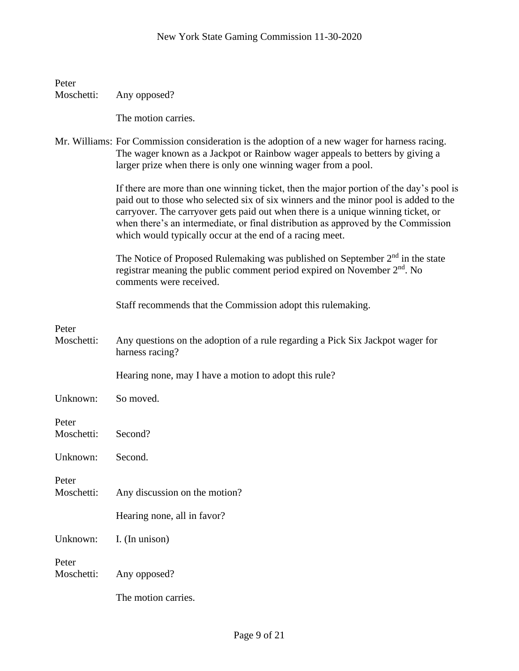| Peter<br>Moschetti: | Any opposed?                                                                                                                                                                                                                                                                                                                                                                                                        |
|---------------------|---------------------------------------------------------------------------------------------------------------------------------------------------------------------------------------------------------------------------------------------------------------------------------------------------------------------------------------------------------------------------------------------------------------------|
|                     | The motion carries.                                                                                                                                                                                                                                                                                                                                                                                                 |
|                     | Mr. Williams: For Commission consideration is the adoption of a new wager for harness racing.<br>The wager known as a Jackpot or Rainbow wager appeals to betters by giving a<br>larger prize when there is only one winning wager from a pool.                                                                                                                                                                     |
|                     | If there are more than one winning ticket, then the major portion of the day's pool is<br>paid out to those who selected six of six winners and the minor pool is added to the<br>carryover. The carryover gets paid out when there is a unique winning ticket, or<br>when there's an intermediate, or final distribution as approved by the Commission<br>which would typically occur at the end of a racing meet. |
|                     | The Notice of Proposed Rulemaking was published on September $2nd$ in the state<br>registrar meaning the public comment period expired on November 2 <sup>nd</sup> . No<br>comments were received.                                                                                                                                                                                                                  |
|                     | Staff recommends that the Commission adopt this rulemaking.                                                                                                                                                                                                                                                                                                                                                         |
| Peter<br>Moschetti: | Any questions on the adoption of a rule regarding a Pick Six Jackpot wager for<br>harness racing?                                                                                                                                                                                                                                                                                                                   |
|                     | Hearing none, may I have a motion to adopt this rule?                                                                                                                                                                                                                                                                                                                                                               |
| Unknown:            | So moved.                                                                                                                                                                                                                                                                                                                                                                                                           |
| Peter<br>Moschetti: | Second?                                                                                                                                                                                                                                                                                                                                                                                                             |
| Unknown:            | Second.                                                                                                                                                                                                                                                                                                                                                                                                             |
| Peter<br>Moschetti: | Any discussion on the motion?                                                                                                                                                                                                                                                                                                                                                                                       |
|                     | Hearing none, all in favor?                                                                                                                                                                                                                                                                                                                                                                                         |
| Unknown:            | I. (In unison)                                                                                                                                                                                                                                                                                                                                                                                                      |
| Peter<br>Moschetti: | Any opposed?                                                                                                                                                                                                                                                                                                                                                                                                        |
|                     | The motion carries.                                                                                                                                                                                                                                                                                                                                                                                                 |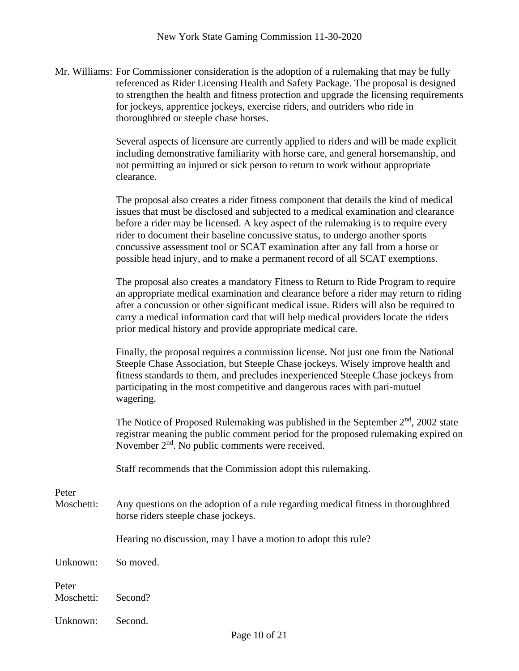Mr. Williams: For Commissioner consideration is the adoption of a rulemaking that may be fully referenced as Rider Licensing Health and Safety Package. The proposal is designed to strengthen the health and fitness protection and upgrade the licensing requirements for jockeys, apprentice jockeys, exercise riders, and outriders who ride in thoroughbred or steeple chase horses.

> Several aspects of licensure are currently applied to riders and will be made explicit including demonstrative familiarity with horse care, and general horsemanship, and not permitting an injured or sick person to return to work without appropriate clearance.

> The proposal also creates a rider fitness component that details the kind of medical issues that must be disclosed and subjected to a medical examination and clearance before a rider may be licensed. A key aspect of the rulemaking is to require every rider to document their baseline concussive status, to undergo another sports concussive assessment tool or SCAT examination after any fall from a horse or possible head injury, and to make a permanent record of all SCAT exemptions.

The proposal also creates a mandatory Fitness to Return to Ride Program to require an appropriate medical examination and clearance before a rider may return to riding after a concussion or other significant medical issue. Riders will also be required to carry a medical information card that will help medical providers locate the riders prior medical history and provide appropriate medical care.

Finally, the proposal requires a commission license. Not just one from the National Steeple Chase Association, but Steeple Chase jockeys. Wisely improve health and fitness standards to them, and precludes inexperienced Steeple Chase jockeys from participating in the most competitive and dangerous races with pari-mutuel wagering.

The Notice of Proposed Rulemaking was published in the September  $2<sup>nd</sup>$ , 2002 state registrar meaning the public comment period for the proposed rulemaking expired on November 2<sup>nd</sup>. No public comments were received.

Staff recommends that the Commission adopt this rulemaking.

Peter

Moschetti: Any questions on the adoption of a rule regarding medical fitness in thoroughbred horse riders steeple chase jockeys.

Hearing no discussion, may I have a motion to adopt this rule?

Unknown: So moved.

Peter Moschetti: Second?

Unknown: Second.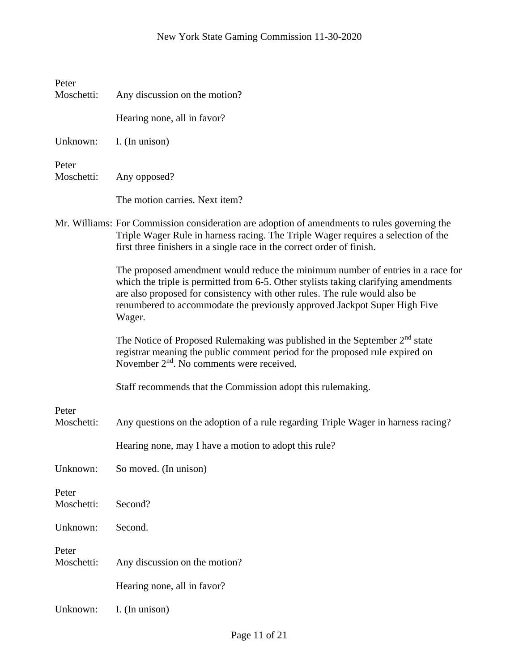| Peter<br>Moschetti: | Any discussion on the motion?                                                                                                                                                                                                                                                                                                               |
|---------------------|---------------------------------------------------------------------------------------------------------------------------------------------------------------------------------------------------------------------------------------------------------------------------------------------------------------------------------------------|
|                     |                                                                                                                                                                                                                                                                                                                                             |
|                     | Hearing none, all in favor?                                                                                                                                                                                                                                                                                                                 |
| Unknown:            | I. (In unison)                                                                                                                                                                                                                                                                                                                              |
| Peter<br>Moschetti: | Any opposed?                                                                                                                                                                                                                                                                                                                                |
|                     | The motion carries. Next item?                                                                                                                                                                                                                                                                                                              |
|                     | Mr. Williams: For Commission consideration are adoption of amendments to rules governing the<br>Triple Wager Rule in harness racing. The Triple Wager requires a selection of the<br>first three finishers in a single race in the correct order of finish.                                                                                 |
|                     | The proposed amendment would reduce the minimum number of entries in a race for<br>which the triple is permitted from 6-5. Other stylists taking clarifying amendments<br>are also proposed for consistency with other rules. The rule would also be<br>renumbered to accommodate the previously approved Jackpot Super High Five<br>Wager. |
|                     | The Notice of Proposed Rulemaking was published in the September 2 <sup>nd</sup> state<br>registrar meaning the public comment period for the proposed rule expired on<br>November 2 <sup>nd</sup> . No comments were received.                                                                                                             |
|                     | Staff recommends that the Commission adopt this rulemaking.                                                                                                                                                                                                                                                                                 |
| Peter               |                                                                                                                                                                                                                                                                                                                                             |
| Moschetti:          | Any questions on the adoption of a rule regarding Triple Wager in harness racing?                                                                                                                                                                                                                                                           |
|                     | Hearing none, may I have a motion to adopt this rule?                                                                                                                                                                                                                                                                                       |
| Unknown:            | So moved. (In unison)                                                                                                                                                                                                                                                                                                                       |
| Peter<br>Moschetti: | Second?                                                                                                                                                                                                                                                                                                                                     |
| Unknown:            | Second.                                                                                                                                                                                                                                                                                                                                     |
| Peter<br>Moschetti: | Any discussion on the motion?                                                                                                                                                                                                                                                                                                               |
|                     | Hearing none, all in favor?                                                                                                                                                                                                                                                                                                                 |
| Unknown:            | I. (In unison)                                                                                                                                                                                                                                                                                                                              |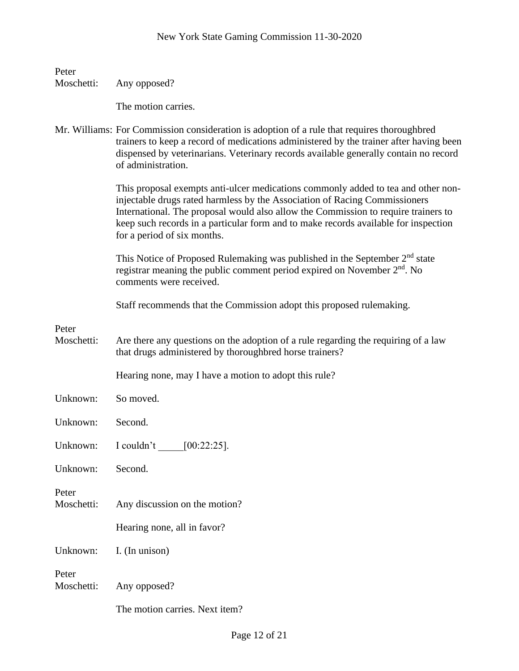| Peter               |                                                                                                                                                                                                                                                                                                                                                                             |
|---------------------|-----------------------------------------------------------------------------------------------------------------------------------------------------------------------------------------------------------------------------------------------------------------------------------------------------------------------------------------------------------------------------|
| Moschetti:          | Any opposed?                                                                                                                                                                                                                                                                                                                                                                |
|                     | The motion carries.                                                                                                                                                                                                                                                                                                                                                         |
|                     | Mr. Williams: For Commission consideration is adoption of a rule that requires thoroughbred<br>trainers to keep a record of medications administered by the trainer after having been<br>dispensed by veterinarians. Veterinary records available generally contain no record<br>of administration.                                                                         |
|                     | This proposal exempts anti-ulcer medications commonly added to tea and other non-<br>injectable drugs rated harmless by the Association of Racing Commissioners<br>International. The proposal would also allow the Commission to require trainers to<br>keep such records in a particular form and to make records available for inspection<br>for a period of six months. |
|                     | This Notice of Proposed Rulemaking was published in the September 2 <sup>nd</sup> state<br>registrar meaning the public comment period expired on November 2 <sup>nd</sup> . No<br>comments were received.                                                                                                                                                                  |
|                     | Staff recommends that the Commission adopt this proposed rulemaking.                                                                                                                                                                                                                                                                                                        |
| Peter<br>Moschetti: | Are there any questions on the adoption of a rule regarding the requiring of a law<br>that drugs administered by thoroughbred horse trainers?                                                                                                                                                                                                                               |
|                     | Hearing none, may I have a motion to adopt this rule?                                                                                                                                                                                                                                                                                                                       |
| Unknown:            | So moved.                                                                                                                                                                                                                                                                                                                                                                   |
| Unknown:            | Second.                                                                                                                                                                                                                                                                                                                                                                     |
| Unknown:            | I couldn't<br>$[00:22:25]$ .                                                                                                                                                                                                                                                                                                                                                |
| Unknown:            | Second.                                                                                                                                                                                                                                                                                                                                                                     |
| Peter<br>Moschetti: | Any discussion on the motion?                                                                                                                                                                                                                                                                                                                                               |
|                     | Hearing none, all in favor?                                                                                                                                                                                                                                                                                                                                                 |
| Unknown:            | I. (In unison)                                                                                                                                                                                                                                                                                                                                                              |
| Peter<br>Moschetti: | Any opposed?                                                                                                                                                                                                                                                                                                                                                                |
|                     | The motion carries. Next item?                                                                                                                                                                                                                                                                                                                                              |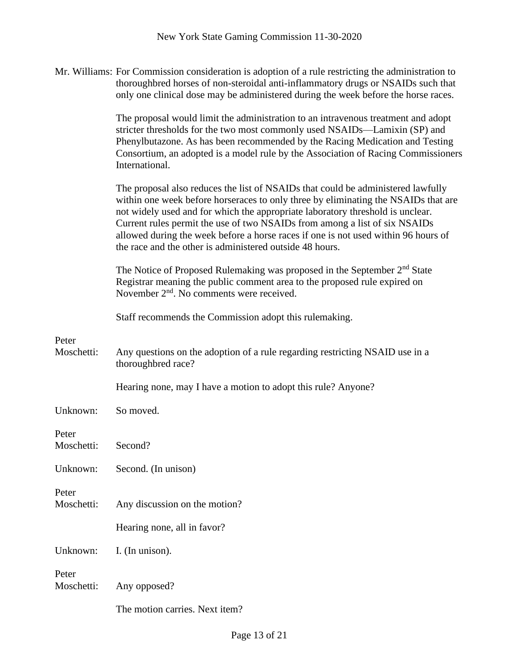Mr. Williams: For Commission consideration is adoption of a rule restricting the administration to thoroughbred horses of non-steroidal anti-inflammatory drugs or NSAIDs such that only one clinical dose may be administered during the week before the horse races.

> The proposal would limit the administration to an intravenous treatment and adopt stricter thresholds for the two most commonly used NSAIDs—Lamixin (SP) and Phenylbutazone. As has been recommended by the Racing Medication and Testing Consortium, an adopted is a model rule by the Association of Racing Commissioners International.

The proposal also reduces the list of NSAIDs that could be administered lawfully within one week before horseraces to only three by eliminating the NSAIDs that are not widely used and for which the appropriate laboratory threshold is unclear. Current rules permit the use of two NSAIDs from among a list of six NSAIDs allowed during the week before a horse races if one is not used within 96 hours of the race and the other is administered outside 48 hours.

The Notice of Proposed Rulemaking was proposed in the September  $2<sup>nd</sup>$  State Registrar meaning the public comment area to the proposed rule expired on November 2nd. No comments were received.

Staff recommends the Commission adopt this rulemaking.

Peter

Moschetti: Any questions on the adoption of a rule regarding restricting NSAID use in a thoroughbred race?

Hearing none, may I have a motion to adopt this rule? Anyone?

Unknown: So moved.

Peter

- Moschetti: Second? Unknown: Second. (In unison) Peter
- Moschetti: Any discussion on the motion?

Hearing none, all in favor?

Unknown: I. (In unison).

Peter Moschetti: Any opposed?

The motion carries. Next item?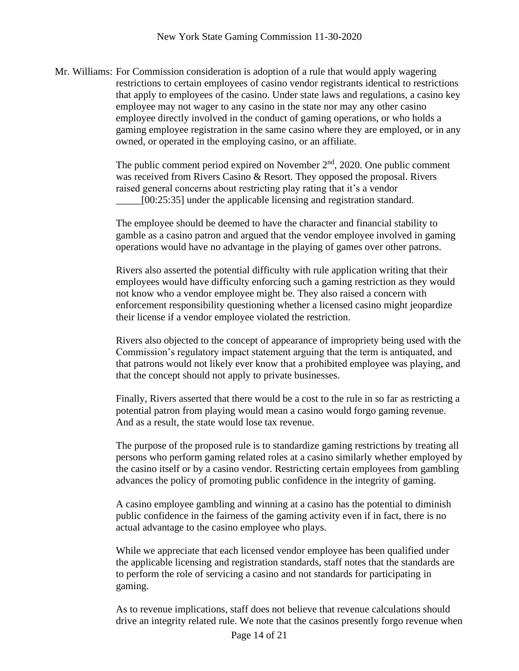Mr. Williams: For Commission consideration is adoption of a rule that would apply wagering restrictions to certain employees of casino vendor registrants identical to restrictions that apply to employees of the casino. Under state laws and regulations, a casino key employee may not wager to any casino in the state nor may any other casino employee directly involved in the conduct of gaming operations, or who holds a gaming employee registration in the same casino where they are employed, or in any owned, or operated in the employing casino, or an affiliate.

> The public comment period expired on November  $2<sup>nd</sup>$ , 2020. One public comment was received from Rivers Casino & Resort. They opposed the proposal. Rivers raised general concerns about restricting play rating that it's a vendor [00:25:35] under the applicable licensing and registration standard.

The employee should be deemed to have the character and financial stability to gamble as a casino patron and argued that the vendor employee involved in gaming operations would have no advantage in the playing of games over other patrons.

Rivers also asserted the potential difficulty with rule application writing that their employees would have difficulty enforcing such a gaming restriction as they would not know who a vendor employee might be. They also raised a concern with enforcement responsibility questioning whether a licensed casino might jeopardize their license if a vendor employee violated the restriction.

Rivers also objected to the concept of appearance of impropriety being used with the Commission's regulatory impact statement arguing that the term is antiquated, and that patrons would not likely ever know that a prohibited employee was playing, and that the concept should not apply to private businesses.

Finally, Rivers asserted that there would be a cost to the rule in so far as restricting a potential patron from playing would mean a casino would forgo gaming revenue. And as a result, the state would lose tax revenue.

The purpose of the proposed rule is to standardize gaming restrictions by treating all persons who perform gaming related roles at a casino similarly whether employed by the casino itself or by a casino vendor. Restricting certain employees from gambling advances the policy of promoting public confidence in the integrity of gaming.

A casino employee gambling and winning at a casino has the potential to diminish public confidence in the fairness of the gaming activity even if in fact, there is no actual advantage to the casino employee who plays.

While we appreciate that each licensed vendor employee has been qualified under the applicable licensing and registration standards, staff notes that the standards are to perform the role of servicing a casino and not standards for participating in gaming.

As to revenue implications, staff does not believe that revenue calculations should drive an integrity related rule. We note that the casinos presently forgo revenue when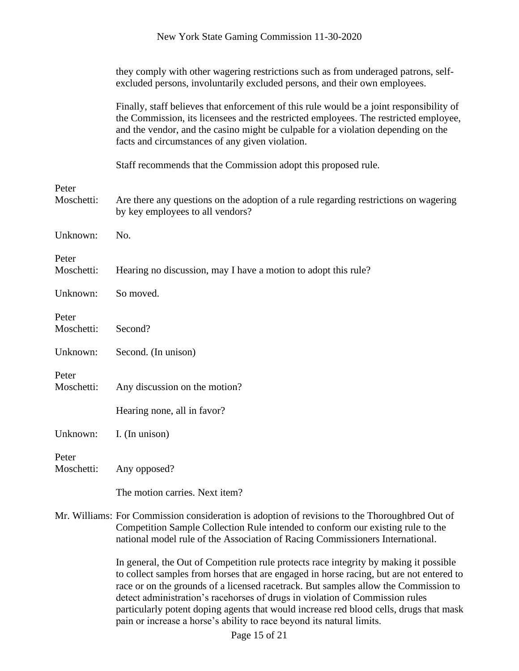|                     | they comply with other wagering restrictions such as from underaged patrons, self-<br>excluded persons, involuntarily excluded persons, and their own employees.                                                                                                                                                         |
|---------------------|--------------------------------------------------------------------------------------------------------------------------------------------------------------------------------------------------------------------------------------------------------------------------------------------------------------------------|
|                     | Finally, staff believes that enforcement of this rule would be a joint responsibility of<br>the Commission, its licensees and the restricted employees. The restricted employee,<br>and the vendor, and the casino might be culpable for a violation depending on the<br>facts and circumstances of any given violation. |
|                     | Staff recommends that the Commission adopt this proposed rule.                                                                                                                                                                                                                                                           |
| Peter<br>Moschetti: | Are there any questions on the adoption of a rule regarding restrictions on wagering                                                                                                                                                                                                                                     |
|                     | by key employees to all vendors?                                                                                                                                                                                                                                                                                         |
| Unknown:            | No.                                                                                                                                                                                                                                                                                                                      |
| Peter<br>Moschetti: | Hearing no discussion, may I have a motion to adopt this rule?                                                                                                                                                                                                                                                           |
| Unknown:            | So moved.                                                                                                                                                                                                                                                                                                                |
| Peter<br>Moschetti: | Second?                                                                                                                                                                                                                                                                                                                  |
| Unknown:            | Second. (In unison)                                                                                                                                                                                                                                                                                                      |
| Peter<br>Moschetti: | Any discussion on the motion?                                                                                                                                                                                                                                                                                            |
|                     | Hearing none, all in favor?                                                                                                                                                                                                                                                                                              |
| Unknown:            | I. (In unison)                                                                                                                                                                                                                                                                                                           |
| Peter<br>Moschetti: | Any opposed?                                                                                                                                                                                                                                                                                                             |
|                     | The motion carries. Next item?                                                                                                                                                                                                                                                                                           |
|                     | Mr. Williams: For Commission consideration is adoption of revisions to the Thoroughbred Out of<br>Competition Sample Collection Rule intended to conform our existing rule to the<br>national model rule of the Association of Racing Commissioners International.                                                       |
|                     | In general, the Out of Competition rule protects race integrity by making it possible<br>to collect samples from horses that are engaged in horse racing, but are not entered to                                                                                                                                         |

race or on the grounds of a licensed racetrack. But samples allow the Commission to detect administration's racehorses of drugs in violation of Commission rules particularly potent doping agents that would increase red blood cells, drugs that mask pain or increase a horse's ability to race beyond its natural limits.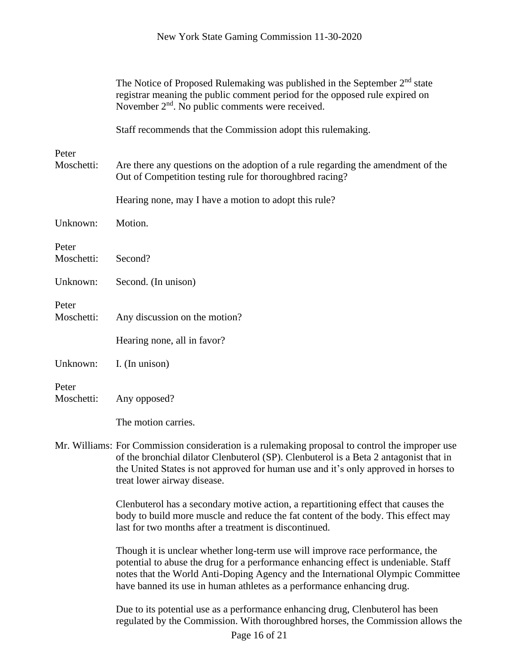|                     | The Notice of Proposed Rulemaking was published in the September $2nd$ state<br>registrar meaning the public comment period for the opposed rule expired on<br>November $2nd$ . No public comments were received.                                                                                                                 |
|---------------------|-----------------------------------------------------------------------------------------------------------------------------------------------------------------------------------------------------------------------------------------------------------------------------------------------------------------------------------|
|                     | Staff recommends that the Commission adopt this rulemaking.                                                                                                                                                                                                                                                                       |
| Peter<br>Moschetti: | Are there any questions on the adoption of a rule regarding the amendment of the<br>Out of Competition testing rule for thoroughbred racing?                                                                                                                                                                                      |
|                     | Hearing none, may I have a motion to adopt this rule?                                                                                                                                                                                                                                                                             |
| Unknown:            | Motion.                                                                                                                                                                                                                                                                                                                           |
| Peter<br>Moschetti: | Second?                                                                                                                                                                                                                                                                                                                           |
| Unknown:            | Second. (In unison)                                                                                                                                                                                                                                                                                                               |
| Peter<br>Moschetti: | Any discussion on the motion?                                                                                                                                                                                                                                                                                                     |
|                     | Hearing none, all in favor?                                                                                                                                                                                                                                                                                                       |
| Unknown:            | I. (In unison)                                                                                                                                                                                                                                                                                                                    |
| Peter<br>Moschetti: | Any opposed?                                                                                                                                                                                                                                                                                                                      |
|                     | The motion carries.                                                                                                                                                                                                                                                                                                               |
|                     | Mr. Williams: For Commission consideration is a rulemaking proposal to control the improper use<br>of the bronchial dilator Clenbuterol (SP). Clenbuterol is a Beta 2 antagonist that in<br>the United States is not approved for human use and it's only approved in horses to<br>treat lower airway disease.                    |
|                     | Clenbuterol has a secondary motive action, a repartitioning effect that causes the<br>body to build more muscle and reduce the fat content of the body. This effect may<br>last for two months after a treatment is discontinued.                                                                                                 |
|                     | Though it is unclear whether long-term use will improve race performance, the<br>potential to abuse the drug for a performance enhancing effect is undeniable. Staff<br>notes that the World Anti-Doping Agency and the International Olympic Committee<br>have banned its use in human athletes as a performance enhancing drug. |
|                     | Due to its potential use as a performance enhancing drug, Clenbuterol has been<br>regulated by the Commission. With thoroughbred horses, the Commission allows the                                                                                                                                                                |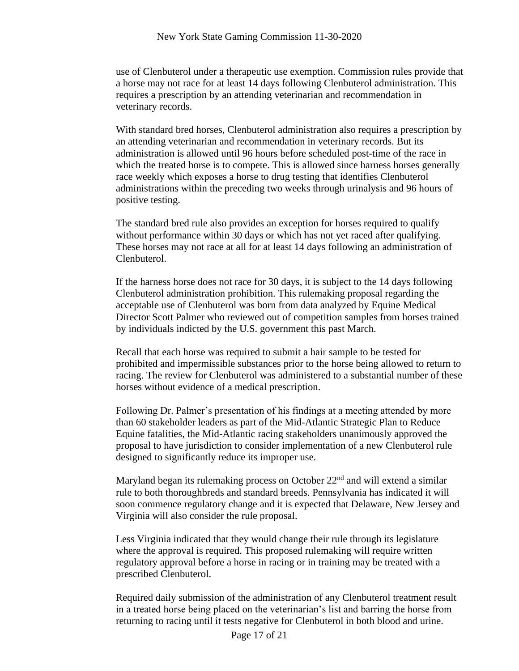use of Clenbuterol under a therapeutic use exemption. Commission rules provide that a horse may not race for at least 14 days following Clenbuterol administration. This requires a prescription by an attending veterinarian and recommendation in veterinary records.

With standard bred horses, Clenbuterol administration also requires a prescription by an attending veterinarian and recommendation in veterinary records. But its administration is allowed until 96 hours before scheduled post-time of the race in which the treated horse is to compete. This is allowed since harness horses generally race weekly which exposes a horse to drug testing that identifies Clenbuterol administrations within the preceding two weeks through urinalysis and 96 hours of positive testing.

The standard bred rule also provides an exception for horses required to qualify without performance within 30 days or which has not yet raced after qualifying. These horses may not race at all for at least 14 days following an administration of Clenbuterol.

If the harness horse does not race for 30 days, it is subject to the 14 days following Clenbuterol administration prohibition. This rulemaking proposal regarding the acceptable use of Clenbuterol was born from data analyzed by Equine Medical Director Scott Palmer who reviewed out of competition samples from horses trained by individuals indicted by the U.S. government this past March.

Recall that each horse was required to submit a hair sample to be tested for prohibited and impermissible substances prior to the horse being allowed to return to racing. The review for Clenbuterol was administered to a substantial number of these horses without evidence of a medical prescription.

Following Dr. Palmer's presentation of his findings at a meeting attended by more than 60 stakeholder leaders as part of the Mid-Atlantic Strategic Plan to Reduce Equine fatalities, the Mid-Atlantic racing stakeholders unanimously approved the proposal to have jurisdiction to consider implementation of a new Clenbuterol rule designed to significantly reduce its improper use.

Maryland began its rulemaking process on October 22<sup>nd</sup> and will extend a similar rule to both thoroughbreds and standard breeds. Pennsylvania has indicated it will soon commence regulatory change and it is expected that Delaware, New Jersey and Virginia will also consider the rule proposal.

Less Virginia indicated that they would change their rule through its legislature where the approval is required. This proposed rulemaking will require written regulatory approval before a horse in racing or in training may be treated with a prescribed Clenbuterol.

Required daily submission of the administration of any Clenbuterol treatment result in a treated horse being placed on the veterinarian's list and barring the horse from returning to racing until it tests negative for Clenbuterol in both blood and urine.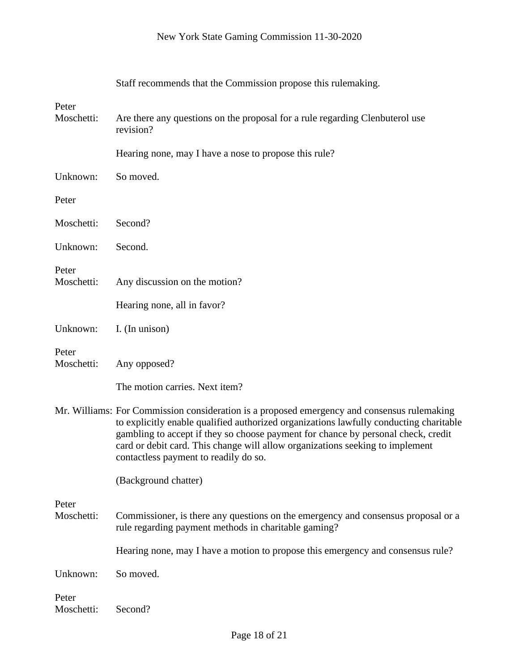|                     | Staff recommends that the Commission propose this rulemaking.                                                                                                                                                                                                                                                                                                                                        |
|---------------------|------------------------------------------------------------------------------------------------------------------------------------------------------------------------------------------------------------------------------------------------------------------------------------------------------------------------------------------------------------------------------------------------------|
| Peter<br>Moschetti: | Are there any questions on the proposal for a rule regarding Clenbuterol use<br>revision?                                                                                                                                                                                                                                                                                                            |
|                     | Hearing none, may I have a nose to propose this rule?                                                                                                                                                                                                                                                                                                                                                |
| Unknown:            | So moved.                                                                                                                                                                                                                                                                                                                                                                                            |
| Peter               |                                                                                                                                                                                                                                                                                                                                                                                                      |
| Moschetti:          | Second?                                                                                                                                                                                                                                                                                                                                                                                              |
| Unknown:            | Second.                                                                                                                                                                                                                                                                                                                                                                                              |
| Peter<br>Moschetti: | Any discussion on the motion?                                                                                                                                                                                                                                                                                                                                                                        |
|                     | Hearing none, all in favor?                                                                                                                                                                                                                                                                                                                                                                          |
| Unknown:            | I. (In unison)                                                                                                                                                                                                                                                                                                                                                                                       |
| Peter<br>Moschetti: | Any opposed?                                                                                                                                                                                                                                                                                                                                                                                         |
|                     | The motion carries. Next item?                                                                                                                                                                                                                                                                                                                                                                       |
|                     | Mr. Williams: For Commission consideration is a proposed emergency and consensus rulemaking<br>to explicitly enable qualified authorized organizations lawfully conducting charitable<br>gambling to accept if they so choose payment for chance by personal check, credit<br>card or debit card. This change will allow organizations seeking to implement<br>contactless payment to readily do so. |
|                     | (Background chatter)                                                                                                                                                                                                                                                                                                                                                                                 |
| Peter<br>Moschetti: | Commissioner, is there any questions on the emergency and consensus proposal or a<br>rule regarding payment methods in charitable gaming?                                                                                                                                                                                                                                                            |
|                     | Hearing none, may I have a motion to propose this emergency and consensus rule?                                                                                                                                                                                                                                                                                                                      |
| Unknown:            | So moved.                                                                                                                                                                                                                                                                                                                                                                                            |
| Peter<br>Moschetti: | Second?                                                                                                                                                                                                                                                                                                                                                                                              |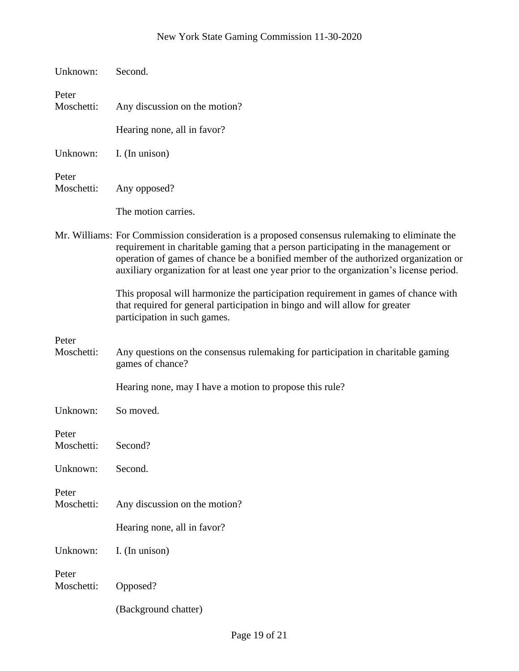| Unknown:            | Second.                                                                                                                                                                                                                                                                                                                                                                |
|---------------------|------------------------------------------------------------------------------------------------------------------------------------------------------------------------------------------------------------------------------------------------------------------------------------------------------------------------------------------------------------------------|
| Peter<br>Moschetti: | Any discussion on the motion?                                                                                                                                                                                                                                                                                                                                          |
|                     | Hearing none, all in favor?                                                                                                                                                                                                                                                                                                                                            |
| Unknown:            | I. (In unison)                                                                                                                                                                                                                                                                                                                                                         |
| Peter<br>Moschetti: | Any opposed?                                                                                                                                                                                                                                                                                                                                                           |
|                     | The motion carries.                                                                                                                                                                                                                                                                                                                                                    |
|                     | Mr. Williams: For Commission consideration is a proposed consensus rulemaking to eliminate the<br>requirement in charitable gaming that a person participating in the management or<br>operation of games of chance be a bonified member of the authorized organization or<br>auxiliary organization for at least one year prior to the organization's license period. |
|                     | This proposal will harmonize the participation requirement in games of chance with<br>that required for general participation in bingo and will allow for greater<br>participation in such games.                                                                                                                                                                      |
| Peter<br>Moschetti: | Any questions on the consensus rulemaking for participation in charitable gaming<br>games of chance?                                                                                                                                                                                                                                                                   |
|                     | Hearing none, may I have a motion to propose this rule?                                                                                                                                                                                                                                                                                                                |
| Unknown:            | So moved.                                                                                                                                                                                                                                                                                                                                                              |
| Peter<br>Moschetti: | Second?                                                                                                                                                                                                                                                                                                                                                                |
| Unknown:            | Second.                                                                                                                                                                                                                                                                                                                                                                |
| Peter<br>Moschetti: | Any discussion on the motion?                                                                                                                                                                                                                                                                                                                                          |
|                     | Hearing none, all in favor?                                                                                                                                                                                                                                                                                                                                            |
| Unknown:            | I. (In unison)                                                                                                                                                                                                                                                                                                                                                         |
| Peter<br>Moschetti: | Opposed?                                                                                                                                                                                                                                                                                                                                                               |
|                     | (Background chatter)                                                                                                                                                                                                                                                                                                                                                   |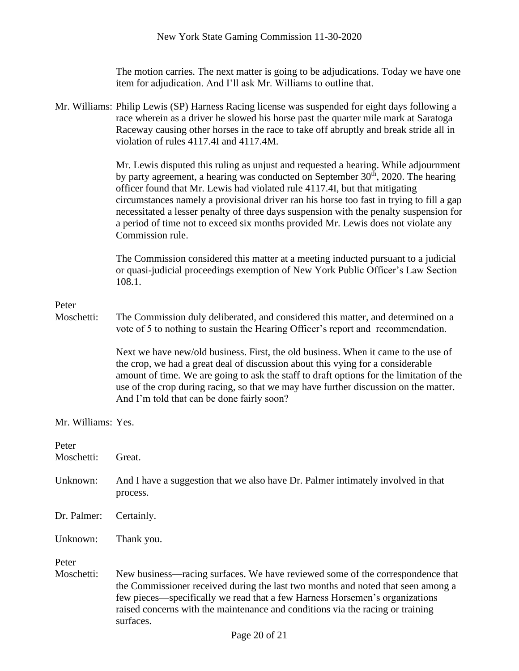The motion carries. The next matter is going to be adjudications. Today we have one item for adjudication. And I'll ask Mr. Williams to outline that.

|                     | Mr. Williams: Philip Lewis (SP) Harness Racing license was suspended for eight days following a<br>race wherein as a driver he slowed his horse past the quarter mile mark at Saratoga<br>Raceway causing other horses in the race to take off abruptly and break stride all in<br>violation of rules 4117.4I and 4117.4M.                                                                                                                                                                                                                                         |
|---------------------|--------------------------------------------------------------------------------------------------------------------------------------------------------------------------------------------------------------------------------------------------------------------------------------------------------------------------------------------------------------------------------------------------------------------------------------------------------------------------------------------------------------------------------------------------------------------|
|                     | Mr. Lewis disputed this ruling as unjust and requested a hearing. While adjournment<br>by party agreement, a hearing was conducted on September 30 <sup>th</sup> , 2020. The hearing<br>officer found that Mr. Lewis had violated rule 4117.4I, but that mitigating<br>circumstances namely a provisional driver ran his horse too fast in trying to fill a gap<br>necessitated a lesser penalty of three days suspension with the penalty suspension for<br>a period of time not to exceed six months provided Mr. Lewis does not violate any<br>Commission rule. |
|                     | The Commission considered this matter at a meeting inducted pursuant to a judicial<br>or quasi-judicial proceedings exemption of New York Public Officer's Law Section<br>108.1.                                                                                                                                                                                                                                                                                                                                                                                   |
| Peter               |                                                                                                                                                                                                                                                                                                                                                                                                                                                                                                                                                                    |
| Moschetti:          | The Commission duly deliberated, and considered this matter, and determined on a<br>vote of 5 to nothing to sustain the Hearing Officer's report and recommendation.                                                                                                                                                                                                                                                                                                                                                                                               |
|                     | Next we have new/old business. First, the old business. When it came to the use of<br>the crop, we had a great deal of discussion about this vying for a considerable<br>amount of time. We are going to ask the staff to draft options for the limitation of the<br>use of the crop during racing, so that we may have further discussion on the matter.<br>And I'm told that can be done fairly soon?                                                                                                                                                            |
| Mr. Williams: Yes.  |                                                                                                                                                                                                                                                                                                                                                                                                                                                                                                                                                                    |
| Peter<br>Moschetti: | Great.                                                                                                                                                                                                                                                                                                                                                                                                                                                                                                                                                             |
| Unknown:            | And I have a suggestion that we also have Dr. Palmer intimately involved in that<br>process.                                                                                                                                                                                                                                                                                                                                                                                                                                                                       |
| Dr. Palmer:         | Certainly.                                                                                                                                                                                                                                                                                                                                                                                                                                                                                                                                                         |
| Unknown:            | Thank you.                                                                                                                                                                                                                                                                                                                                                                                                                                                                                                                                                         |
| Peter<br>Moschetti: | New business—racing surfaces. We have reviewed some of the correspondence that<br>the Commissioner received during the last two months and noted that seen among a<br>few pieces—specifically we read that a few Harness Horsemen's organizations<br>raised concerns with the maintenance and conditions via the racing or training<br>surfaces.                                                                                                                                                                                                                   |